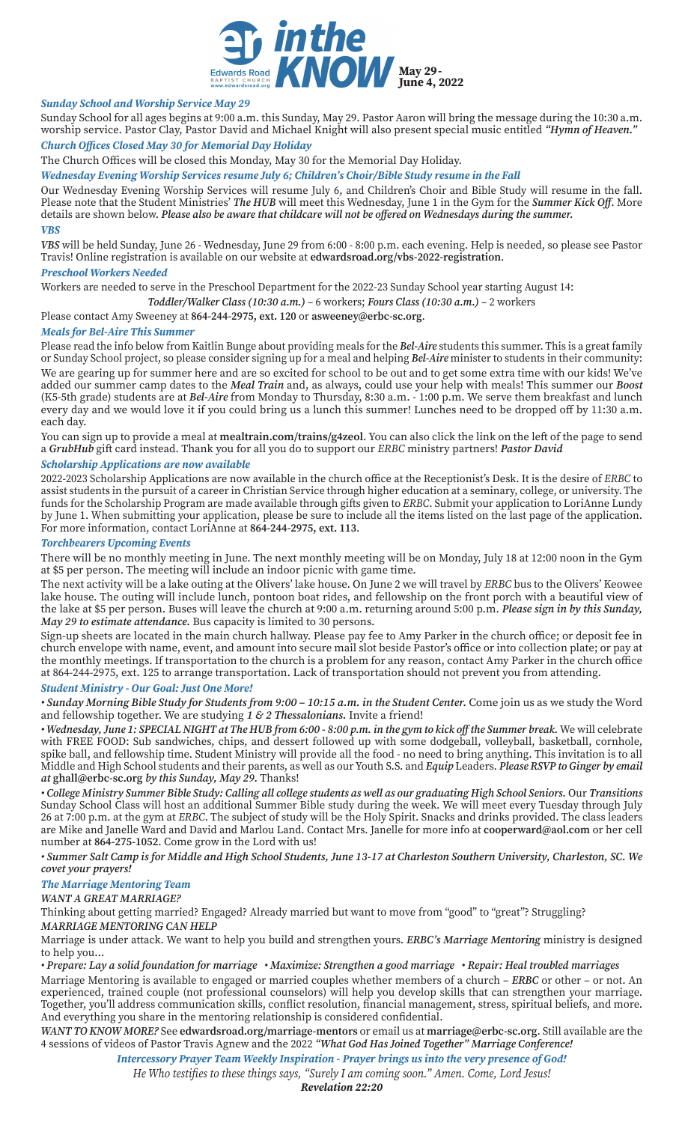

## *Sunday School and Worship Service May 29*

Sunday School for all ages begins at 9:00 a.m. this Sunday, May 29. Pastor Aaron will bring the message during the 10:30 a.m. worship service. Pastor Clay, Pastor David and Michael Knight will also present special music entitled *"Hymn of Heaven."*

# *Church Offices Closed May 30 for Memorial Day Holiday*

The Church Offices will be closed this Monday, May 30 for the Memorial Day Holiday.

*Wednesday Evening Worship Services resume July 6; Children's Choir/Bible Study resume in the Fall*

Our Wednesday Evening Worship Services will resume July 6, and Children's Choir and Bible Study will resume in the fall. Please note that the Student Ministries' *The HUB* will meet this Wednesday, June 1 in the Gym for the *Summer Kick Off*. More details are shown below. *Please also be aware that childcare will not be offered on Wednesdays during the summer. VBS*

*VBS* will be held Sunday, June 26 - Wednesday, June 29 from 6:00 - 8:00 p.m. each evening. Help is needed, so please see Pastor Travis! Online registration is available on our website at **edwardsroad.org/vbs-2022-registration**.

#### *Preschool Workers Needed*

Workers are needed to serve in the Preschool Department for the 2022-23 Sunday School year starting August 14:

*Toddler/Walker Class (10:30 a.m.)* – 6 workers; *Fours Class (10:30 a.m.)* – 2 workers

Please contact Amy Sweeney at **864-244-2975, ext. 120** or **asweeney@erbc-sc.org**.

## *Meals for Bel-Aire This Summer*

Please read the info below from Kaitlin Bunge about providing meals for the *Bel-Aire* students this summer. This is a great family or Sunday School project, so please consider signing up for a meal and helping *Bel-Aire* minister to students in their community: We are gearing up for summer here and are so excited for school to be out and to get some extra time with our kids! We've added our summer camp dates to the *Meal Train* and, as always, could use your help with meals! This summer our *Boost* (K5-5th grade) students are at *Bel-Aire* from Monday to Thursday, 8:30 a.m. - 1:00 p.m. We serve them breakfast and lunch every day and we would love it if you could bring us a lunch this summer! Lunches need to be dropped off by 11:30 a.m. each day.

You can sign up to provide a meal at **mealtrain.com/trains/g4zeol**. You can also click the link on the left of the page to send a *GrubHub* gift card instead. Thank you for all you do to support our *ERBC* ministry partners! *Pastor David*

## *Scholarship Applications are now available*

2022-2023 Scholarship Applications are now available in the church office at the Receptionist's Desk. It is the desire of *ERBC* to assist students in the pursuit of a career in Christian Service through higher education at a seminary, college, or university. The funds for the Scholarship Program are made available through gifts given to *ERBC*. Submit your application to LoriAnne Lundy by June 1. When submitting your application, please be sure to include all the items listed on the last page of the application. For more information, contact LoriAnne at **864-244-2975, ext. 113**.

## *Torchbearers Upcoming Events*

There will be no monthly meeting in June. The next monthly meeting will be on Monday, July 18 at 12:00 noon in the Gym at \$5 per person. The meeting will include an indoor picnic with game time.

The next activity will be a lake outing at the Olivers' lake house. On June 2 we will travel by *ERBC* bus to the Olivers' Keowee lake house. The outing will include lunch, pontoon boat rides, and fellowship on the front porch with a beautiful view of the lake at \$5 per person. Buses will leave the church at 9:00 a.m. returning around 5:00 p.m. *Please sign in by this Sunday, May 29 to estimate attendance.* Bus capacity is limited to 30 persons.

Sign-up sheets are located in the main church hallway. Please pay fee to Amy Parker in the church office; or deposit fee in church envelope with name, event, and amount into secure mail slot beside Pastor's office or into collection plate; or pay at the monthly meetings. If transportation to the church is a problem for any reason, contact Amy Parker in the church office at 864-244-2975, ext. 125 to arrange transportation. Lack of transportation should not prevent you from attending.

#### *Student Ministry - Our Goal: Just One More!*

• Sunday Morning Bible Study for Students from 9:00 - 10:15 a.m. in the Student Center. Come join us as we study the Word and fellowship together. We are studying *1 & 2 Thessalonians.* Invite a friend!

*• Wednesday, June 1: SPECIAL NIGHT at The HUB from 6:00 - 8:00 p.m. in the gym to kick off the Summer break.* We will celebrate with FREE FOOD: Sub sandwiches, chips, and dessert followed up with some dodgeball, volleyball, basketball, cornhole, spike ball, and fellowship time. Student Ministry will provide all the food - no need to bring anything. This invitation is to all Middle and High School students and their parents, as well as our Youth S.S. and *Equip* Leaders. *Please RSVP to Ginger by email at* **ghall@erbc-sc.org** *by this Sunday, May 29.* Thanks!

*• College Ministry Summer Bible Study: Calling all college students as well as our graduating High School Seniors.* Our *Transitions* Sunday School Class will host an additional Summer Bible study during the week. We will meet every Tuesday through July 26 at 7:00 p.m. at the gym at *ERBC*. The subject of study will be the Holy Spirit. Snacks and drinks provided. The class leaders are Mike and Janelle Ward and David and Marlou Land. Contact Mrs. Janelle for more info at **cooperward@aol.com** or her cell number at **864-275-1052**. Come grow in the Lord with us!

*• Summer Salt Camp is for Middle and High School Students, June 13-17 at Charleston Southern University, Charleston, SC. We covet your prayers!*

# *The Marriage Mentoring Team*

*WANT A GREAT MARRIAGE?*

Thinking about getting married? Engaged? Already married but want to move from "good" to "great"? Struggling? *MARRIAGE MENTORING CAN HELP*

Marriage is under attack. We want to help you build and strengthen yours. *ERBC's Marriage Mentoring* ministry is designed to help you…

#### *• Prepare: Lay a solid foundation for marriage • Maximize: Strengthen a good marriage • Repair: Heal troubled marriages*

Marriage Mentoring is available to engaged or married couples whether members of a church – *ERBC* or other – or not. An experienced, trained couple (not professional counselors) will help you develop skills that can strengthen your marriage. Together, you'll address communication skills, conflict resolution, financial management, stress, spiritual beliefs, and more. And everything you share in the mentoring relationship is considered confidential.

*WANT TO KNOW MORE?* See **edwardsroad.org/marriage-mentors** or email us at **marriage@erbc-sc.org**. Still available are the 4 sessions of videos of Pastor Travis Agnew and the 2022 *"What God Has Joined Together" Marriage Conference!*

*Intercessory Prayer Team Weekly Inspiration - Prayer brings us into the very presence of God!*

*He Who testifies to these things says, "Surely I am coming soon." Amen. Come, Lord Jesus!*

*Revelation 22:20*